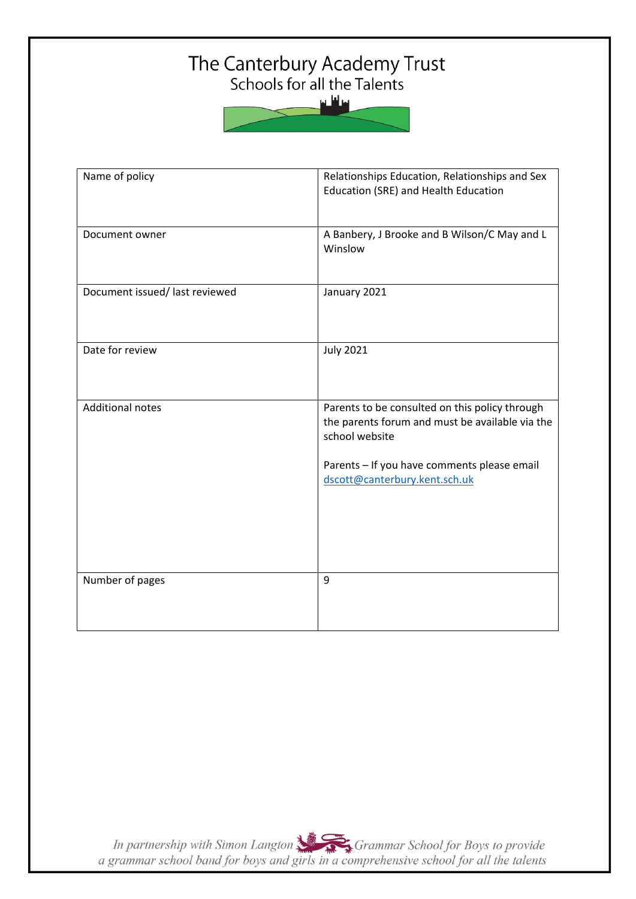# The Canterbury Academy Trust<br>Schools for all the Talents

سرافل س

| Name of policy                | Relationships Education, Relationships and Sex<br>Education (SRE) and Health Education                              |
|-------------------------------|---------------------------------------------------------------------------------------------------------------------|
| Document owner                | A Banbery, J Brooke and B Wilson/C May and L<br>Winslow                                                             |
| Document issued/last reviewed | January 2021                                                                                                        |
| Date for review               | <b>July 2021</b>                                                                                                    |
| <b>Additional notes</b>       | Parents to be consulted on this policy through<br>the parents forum and must be available via the<br>school website |
|                               | Parents - If you have comments please email<br>dscott@canterbury.kent.sch.uk                                        |
|                               |                                                                                                                     |
| Number of pages               | 9                                                                                                                   |

In partnership with Simon Langton Sexting Grammar School for Boys to provide<br>a grammar school band for boys and girls in a comprehensive school for all the talents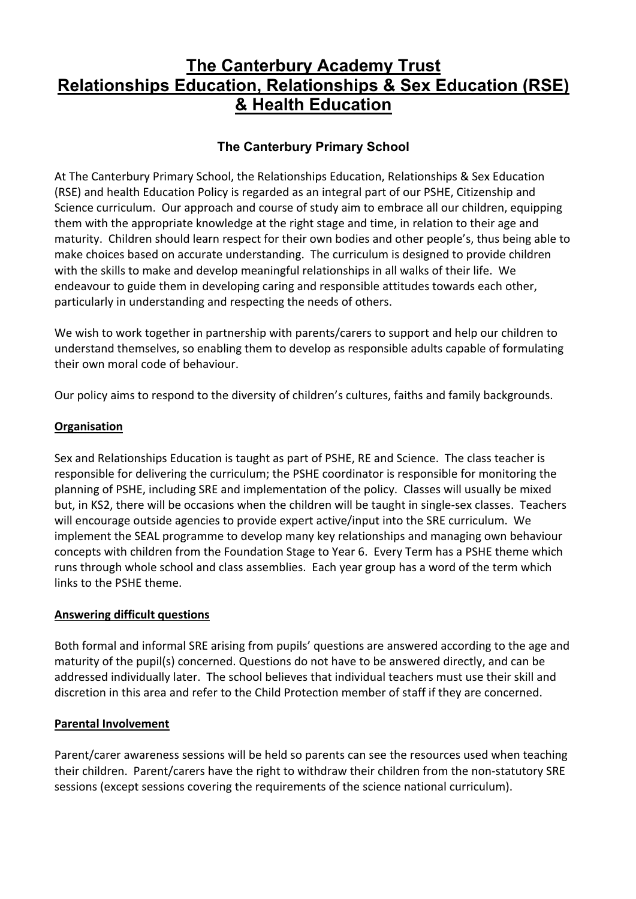# **The Canterbury Academy Trust Relationships Education, Relationships & Sex Education (RSE) & Health Education**

# **The Canterbury Primary School**

At The Canterbury Primary School, the Relationships Education, Relationships & Sex Education (RSE) and health Education Policy is regarded as an integral part of our PSHE, Citizenship and Science curriculum. Our approach and course of study aim to embrace all our children, equipping them with the appropriate knowledge at the right stage and time, in relation to their age and maturity. Children should learn respect for their own bodies and other people's, thus being able to make choices based on accurate understanding. The curriculum is designed to provide children with the skills to make and develop meaningful relationships in all walks of their life. We endeavour to guide them in developing caring and responsible attitudes towards each other, particularly in understanding and respecting the needs of others.

We wish to work together in partnership with parents/carers to support and help our children to understand themselves, so enabling them to develop as responsible adults capable of formulating their own moral code of behaviour.

Our policy aims to respond to the diversity of children's cultures, faiths and family backgrounds.

#### **Organisation**

Sex and Relationships Education is taught as part of PSHE, RE and Science. The class teacher is responsible for delivering the curriculum; the PSHE coordinator is responsible for monitoring the planning of PSHE, including SRE and implementation of the policy. Classes will usually be mixed but, in KS2, there will be occasions when the children will be taught in single‐sex classes. Teachers will encourage outside agencies to provide expert active/input into the SRE curriculum. We implement the SEAL programme to develop many key relationships and managing own behaviour concepts with children from the Foundation Stage to Year 6. Every Term has a PSHE theme which runs through whole school and class assemblies. Each year group has a word of the term which links to the PSHE theme.

#### **Answering difficult questions**

Both formal and informal SRE arising from pupils' questions are answered according to the age and maturity of the pupil(s) concerned. Questions do not have to be answered directly, and can be addressed individually later. The school believes that individual teachers must use their skill and discretion in this area and refer to the Child Protection member of staff if they are concerned.

#### **Parental Involvement**

Parent/carer awareness sessions will be held so parents can see the resources used when teaching their children. Parent/carers have the right to withdraw their children from the non‐statutory SRE sessions (except sessions covering the requirements of the science national curriculum).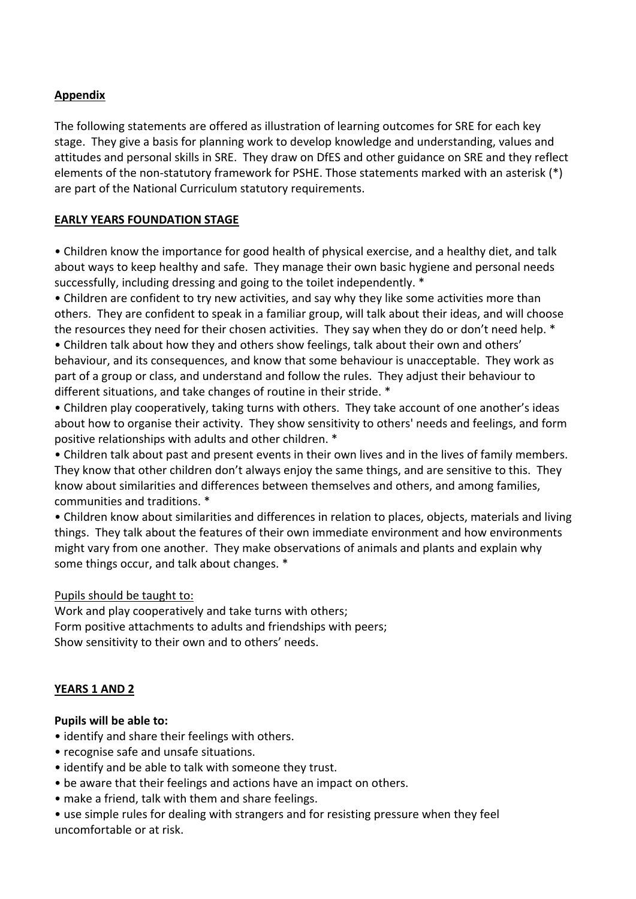#### **Appendix**

The following statements are offered as illustration of learning outcomes for SRE for each key stage. They give a basis for planning work to develop knowledge and understanding, values and attitudes and personal skills in SRE. They draw on DfES and other guidance on SRE and they reflect elements of the non-statutory framework for PSHE. Those statements marked with an asterisk (\*) are part of the National Curriculum statutory requirements.

#### **EARLY YEARS FOUNDATION STAGE**

• Children know the importance for good health of physical exercise, and a healthy diet, and talk about ways to keep healthy and safe. They manage their own basic hygiene and personal needs successfully, including dressing and going to the toilet independently. \*

• Children are confident to try new activities, and say why they like some activities more than others. They are confident to speak in a familiar group, will talk about their ideas, and will choose the resources they need for their chosen activities. They say when they do or don't need help. \*

• Children talk about how they and others show feelings, talk about their own and others' behaviour, and its consequences, and know that some behaviour is unacceptable. They work as part of a group or class, and understand and follow the rules. They adjust their behaviour to different situations, and take changes of routine in their stride. \*

• Children play cooperatively, taking turns with others. They take account of one another's ideas about how to organise their activity. They show sensitivity to others' needs and feelings, and form positive relationships with adults and other children. \*

• Children talk about past and present events in their own lives and in the lives of family members. They know that other children don't always enjoy the same things, and are sensitive to this. They know about similarities and differences between themselves and others, and among families, communities and traditions. \*

• Children know about similarities and differences in relation to places, objects, materials and living things. They talk about the features of their own immediate environment and how environments might vary from one another. They make observations of animals and plants and explain why some things occur, and talk about changes. \*

#### Pupils should be taught to:

Work and play cooperatively and take turns with others; Form positive attachments to adults and friendships with peers; Show sensitivity to their own and to others' needs.

#### **YEARS 1 AND 2**

#### **Pupils will be able to:**

- identify and share their feelings with others.
- recognise safe and unsafe situations.
- identify and be able to talk with someone they trust.
- be aware that their feelings and actions have an impact on others.
- make a friend, talk with them and share feelings.

• use simple rules for dealing with strangers and for resisting pressure when they feel uncomfortable or at risk.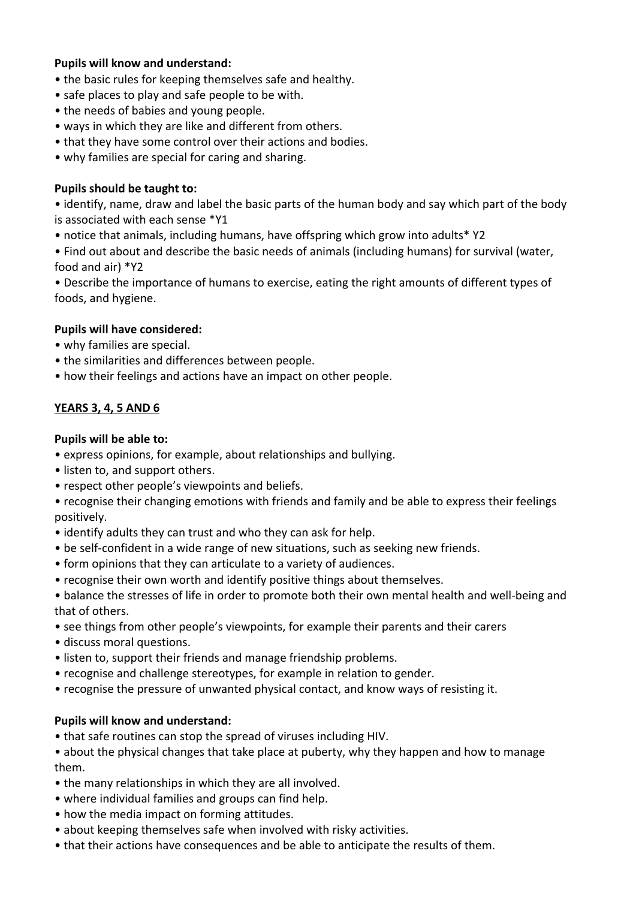#### **Pupils will know and understand:**

- the basic rules for keeping themselves safe and healthy.
- safe places to play and safe people to be with.
- the needs of babies and young people.
- ways in which they are like and different from others.
- that they have some control over their actions and bodies.
- why families are special for caring and sharing.

#### **Pupils should be taught to:**

• identify, name, draw and label the basic parts of the human body and say which part of the body is associated with each sense \*Y1

• notice that animals, including humans, have offspring which grow into adults\* Y2

• Find out about and describe the basic needs of animals (including humans) for survival (water, food and air) \*Y2

• Describe the importance of humans to exercise, eating the right amounts of different types of foods, and hygiene.

#### **Pupils will have considered:**

- why families are special.
- the similarities and differences between people.
- how their feelings and actions have an impact on other people.

#### **YEARS 3, 4, 5 AND 6**

#### **Pupils will be able to:**

- express opinions, for example, about relationships and bullying.
- listen to, and support others.
- respect other people's viewpoints and beliefs.

• recognise their changing emotions with friends and family and be able to express their feelings positively.

- identify adults they can trust and who they can ask for help.
- be self-confident in a wide range of new situations, such as seeking new friends.
- form opinions that they can articulate to a variety of audiences.
- recognise their own worth and identify positive things about themselves.

• balance the stresses of life in order to promote both their own mental health and well‐being and that of others.

- see things from other people's viewpoints, for example their parents and their carers
- discuss moral questions.
- listen to, support their friends and manage friendship problems.
- recognise and challenge stereotypes, for example in relation to gender.
- recognise the pressure of unwanted physical contact, and know ways of resisting it.

#### **Pupils will know and understand:**

- that safe routines can stop the spread of viruses including HIV.
- about the physical changes that take place at puberty, why they happen and how to manage them.
- the many relationships in which they are all involved.
- where individual families and groups can find help.
- how the media impact on forming attitudes.
- about keeping themselves safe when involved with risky activities.
- that their actions have consequences and be able to anticipate the results of them.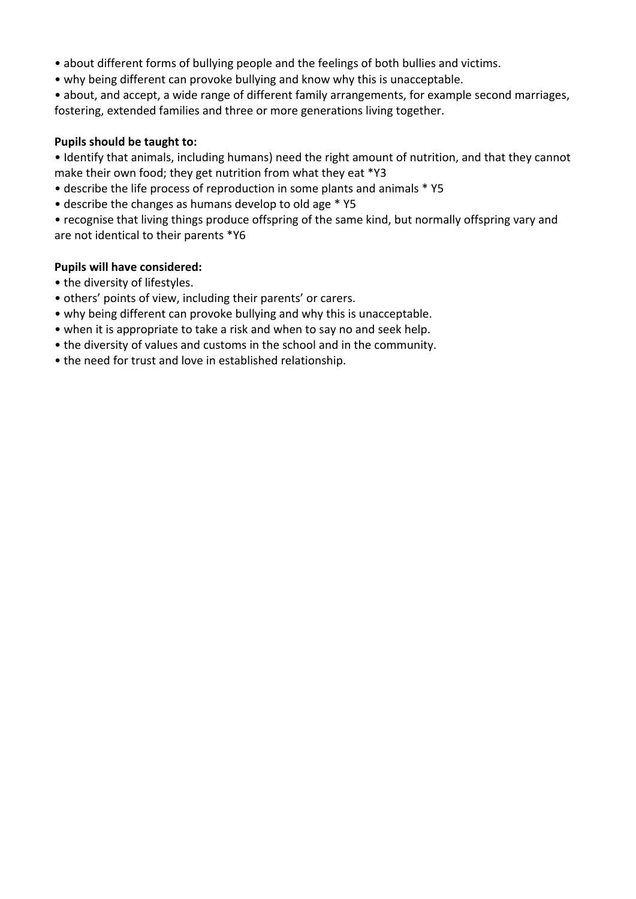- about different forms of bullying people and the feelings of both bullies and victims.
- why being different can provoke bullying and know why this is unacceptable.

• about, and accept, a wide range of different family arrangements, for example second marriages, fostering, extended families and three or more generations living together.

#### **Pupils should be taught to:**

• Identify that animals, including humans) need the right amount of nutrition, and that they cannot make their own food; they get nutrition from what they eat \*Y3

- describe the life process of reproduction in some plants and animals \* Y5
- describe the changes as humans develop to old age \* Y5

• recognise that living things produce offspring of the same kind, but normally offspring vary and are not identical to their parents \*Y6

#### **Pupils will have considered:**

- the diversity of lifestyles.
- others' points of view, including their parents' or carers.
- why being different can provoke bullying and why this is unacceptable.
- when it is appropriate to take a risk and when to say no and seek help.
- the diversity of values and customs in the school and in the community.
- the need for trust and love in established relationship.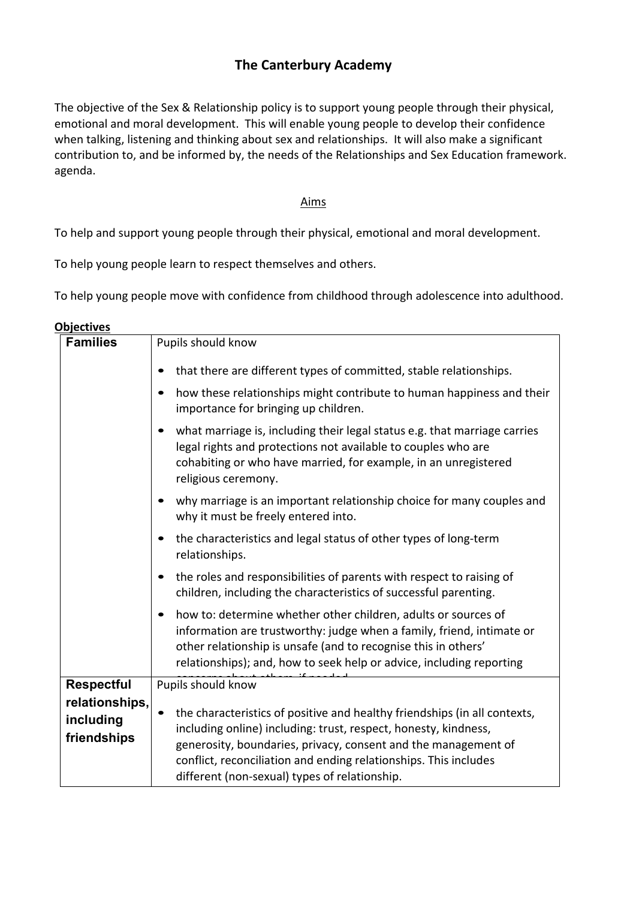# **The Canterbury Academy**

The objective of the Sex & Relationship policy is to support young people through their physical, emotional and moral development. This will enable young people to develop their confidence when talking, listening and thinking about sex and relationships. It will also make a significant contribution to, and be informed by, the needs of the Relationships and Sex Education framework. agenda.

#### Aims

To help and support young people through their physical, emotional and moral development.

To help young people learn to respect themselves and others.

To help young people move with confidence from childhood through adolescence into adulthood.

#### **Objectives**

| Pupils should know                                                                                                                                                                                                                                                                                                                                    |  |
|-------------------------------------------------------------------------------------------------------------------------------------------------------------------------------------------------------------------------------------------------------------------------------------------------------------------------------------------------------|--|
| that there are different types of committed, stable relationships.                                                                                                                                                                                                                                                                                    |  |
| how these relationships might contribute to human happiness and their<br>٠<br>importance for bringing up children.                                                                                                                                                                                                                                    |  |
| what marriage is, including their legal status e.g. that marriage carries<br>٠<br>legal rights and protections not available to couples who are<br>cohabiting or who have married, for example, in an unregistered<br>religious ceremony.                                                                                                             |  |
| why marriage is an important relationship choice for many couples and<br>$\bullet$<br>why it must be freely entered into.                                                                                                                                                                                                                             |  |
| the characteristics and legal status of other types of long-term<br>$\bullet$<br>relationships.                                                                                                                                                                                                                                                       |  |
| the roles and responsibilities of parents with respect to raising of<br>children, including the characteristics of successful parenting.                                                                                                                                                                                                              |  |
| how to: determine whether other children, adults or sources of<br>$\bullet$<br>information are trustworthy: judge when a family, friend, intimate or<br>other relationship is unsafe (and to recognise this in others'<br>relationships); and, how to seek help or advice, including reporting                                                        |  |
| Pupils should know                                                                                                                                                                                                                                                                                                                                    |  |
| relationships,<br>the characteristics of positive and healthy friendships (in all contexts,<br>including online) including: trust, respect, honesty, kindness,<br>generosity, boundaries, privacy, consent and the management of<br>conflict, reconciliation and ending relationships. This includes<br>different (non-sexual) types of relationship. |  |
|                                                                                                                                                                                                                                                                                                                                                       |  |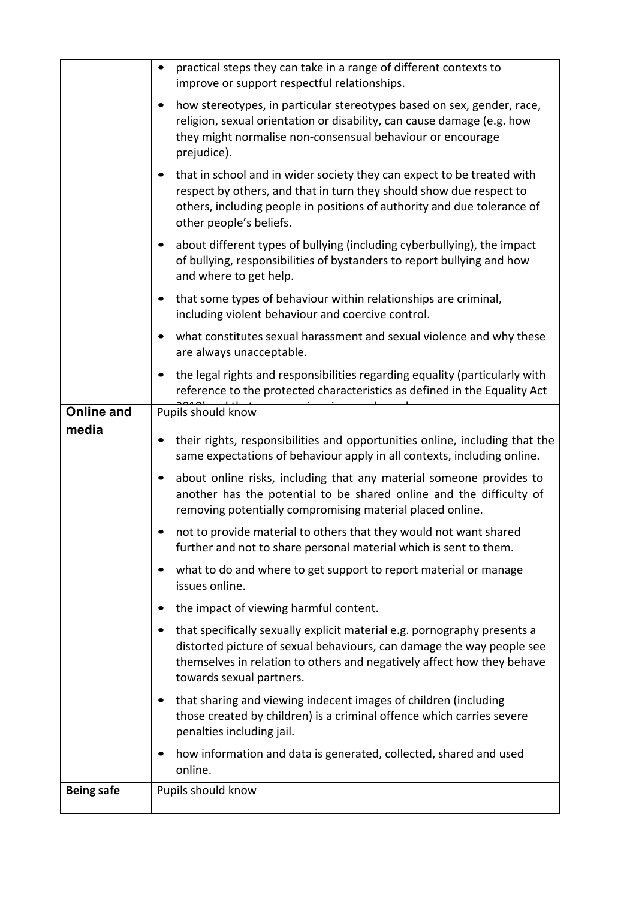|                   | practical steps they can take in a range of different contexts to<br>$\bullet$<br>improve or support respectful relationships.                                                                                                                                       |
|-------------------|----------------------------------------------------------------------------------------------------------------------------------------------------------------------------------------------------------------------------------------------------------------------|
|                   | how stereotypes, in particular stereotypes based on sex, gender, race,<br>religion, sexual orientation or disability, can cause damage (e.g. how<br>they might normalise non-consensual behaviour or encourage<br>prejudice).                                        |
|                   | that in school and in wider society they can expect to be treated with<br>respect by others, and that in turn they should show due respect to<br>others, including people in positions of authority and due tolerance of<br>other people's beliefs.                  |
|                   | about different types of bullying (including cyberbullying), the impact<br>of bullying, responsibilities of bystanders to report bullying and how<br>and where to get help.                                                                                          |
|                   | that some types of behaviour within relationships are criminal,<br>including violent behaviour and coercive control.                                                                                                                                                 |
|                   | what constitutes sexual harassment and sexual violence and why these<br>are always unacceptable.                                                                                                                                                                     |
|                   | the legal rights and responsibilities regarding equality (particularly with<br>reference to the protected characteristics as defined in the Equality Act                                                                                                             |
| <b>Online and</b> | Pupils should know                                                                                                                                                                                                                                                   |
| media             | their rights, responsibilities and opportunities online, including that the<br>same expectations of behaviour apply in all contexts, including online.                                                                                                               |
|                   | about online risks, including that any material someone provides to<br>٠<br>another has the potential to be shared online and the difficulty of<br>removing potentially compromising material placed online.                                                         |
|                   | not to provide material to others that they would not want shared<br>further and not to share personal material which is sent to them.                                                                                                                               |
|                   | what to do and where to get support to report material or manage<br>$\bullet$<br>issues online.                                                                                                                                                                      |
|                   | the impact of viewing harmful content.                                                                                                                                                                                                                               |
|                   | that specifically sexually explicit material e.g. pornography presents a<br>$\bullet$<br>distorted picture of sexual behaviours, can damage the way people see<br>themselves in relation to others and negatively affect how they behave<br>towards sexual partners. |
|                   | that sharing and viewing indecent images of children (including<br>those created by children) is a criminal offence which carries severe<br>penalties including jail.                                                                                                |
|                   | how information and data is generated, collected, shared and used<br>online.                                                                                                                                                                                         |
| <b>Being safe</b> | Pupils should know                                                                                                                                                                                                                                                   |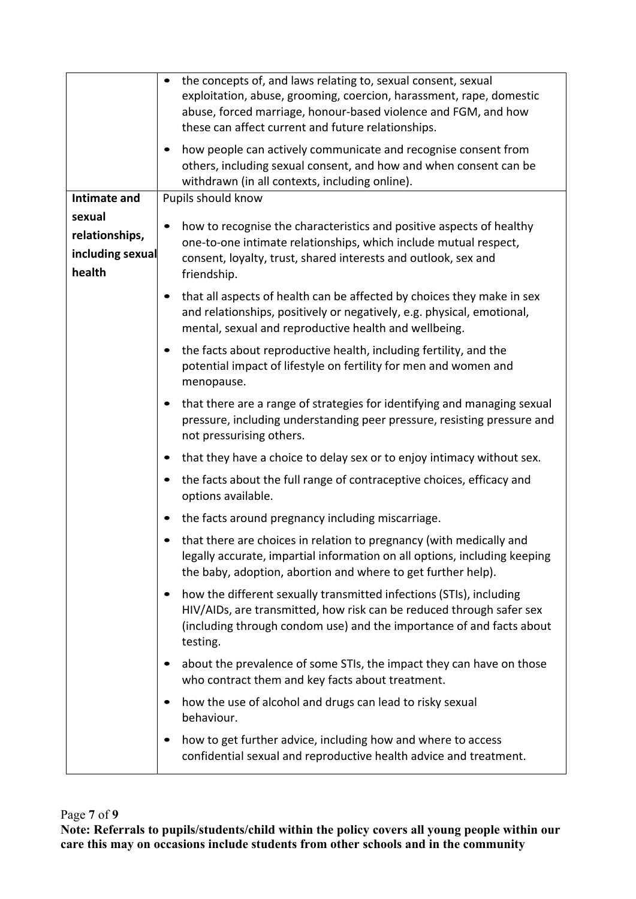|                                                        | the concepts of, and laws relating to, sexual consent, sexual<br>exploitation, abuse, grooming, coercion, harassment, rape, domestic<br>abuse, forced marriage, honour-based violence and FGM, and how<br>these can affect current and future relationships.<br>how people can actively communicate and recognise consent from<br>others, including sexual consent, and how and when consent can be<br>withdrawn (in all contexts, including online). |
|--------------------------------------------------------|-------------------------------------------------------------------------------------------------------------------------------------------------------------------------------------------------------------------------------------------------------------------------------------------------------------------------------------------------------------------------------------------------------------------------------------------------------|
| <b>Intimate and</b>                                    | Pupils should know                                                                                                                                                                                                                                                                                                                                                                                                                                    |
| sexual<br>relationships,<br>including sexual<br>health | how to recognise the characteristics and positive aspects of healthy<br>one-to-one intimate relationships, which include mutual respect,<br>consent, loyalty, trust, shared interests and outlook, sex and<br>friendship.                                                                                                                                                                                                                             |
|                                                        | that all aspects of health can be affected by choices they make in sex<br>and relationships, positively or negatively, e.g. physical, emotional,<br>mental, sexual and reproductive health and wellbeing.                                                                                                                                                                                                                                             |
|                                                        | the facts about reproductive health, including fertility, and the<br>$\bullet$<br>potential impact of lifestyle on fertility for men and women and<br>menopause.                                                                                                                                                                                                                                                                                      |
|                                                        | that there are a range of strategies for identifying and managing sexual<br>$\bullet$<br>pressure, including understanding peer pressure, resisting pressure and<br>not pressurising others.                                                                                                                                                                                                                                                          |
|                                                        | that they have a choice to delay sex or to enjoy intimacy without sex.                                                                                                                                                                                                                                                                                                                                                                                |
|                                                        | the facts about the full range of contraceptive choices, efficacy and<br>options available.                                                                                                                                                                                                                                                                                                                                                           |
|                                                        | the facts around pregnancy including miscarriage.                                                                                                                                                                                                                                                                                                                                                                                                     |
|                                                        | that there are choices in relation to pregnancy (with medically and<br>legally accurate, impartial information on all options, including keeping<br>the baby, adoption, abortion and where to get further help).                                                                                                                                                                                                                                      |
|                                                        | how the different sexually transmitted infections (STIs), including<br>HIV/AIDs, are transmitted, how risk can be reduced through safer sex<br>(including through condom use) and the importance of and facts about<br>testing.                                                                                                                                                                                                                       |
|                                                        | about the prevalence of some STIs, the impact they can have on those<br>who contract them and key facts about treatment.                                                                                                                                                                                                                                                                                                                              |
|                                                        | how the use of alcohol and drugs can lead to risky sexual<br>behaviour.                                                                                                                                                                                                                                                                                                                                                                               |
|                                                        | how to get further advice, including how and where to access<br>confidential sexual and reproductive health advice and treatment.                                                                                                                                                                                                                                                                                                                     |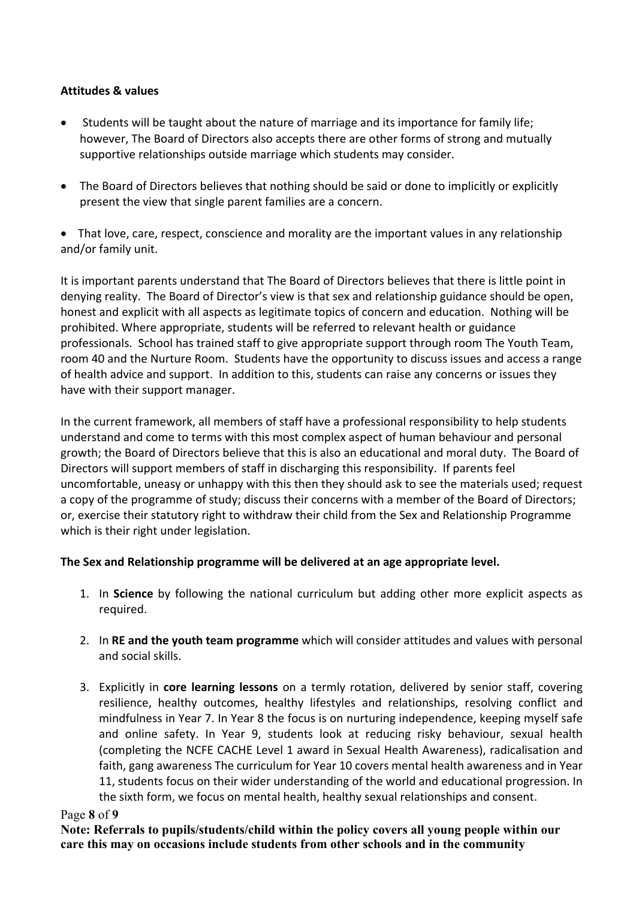#### **Attitudes & values**

- Students will be taught about the nature of marriage and its importance for family life; however, The Board of Directors also accepts there are other forms of strong and mutually supportive relationships outside marriage which students may consider.
- The Board of Directors believes that nothing should be said or done to implicitly or explicitly present the view that single parent families are a concern.
- That love, care, respect, conscience and morality are the important values in any relationship and/or family unit.

It is important parents understand that The Board of Directors believes that there is little point in denying reality. The Board of Director's view is that sex and relationship guidance should be open, honest and explicit with all aspects as legitimate topics of concern and education. Nothing will be prohibited. Where appropriate, students will be referred to relevant health or guidance professionals. School has trained staff to give appropriate support through room The Youth Team, room 40 and the Nurture Room. Students have the opportunity to discuss issues and access a range of health advice and support. In addition to this, students can raise any concerns or issues they have with their support manager.

In the current framework, all members of staff have a professional responsibility to help students understand and come to terms with this most complex aspect of human behaviour and personal growth; the Board of Directors believe that this is also an educational and moral duty. The Board of Directors will support members of staff in discharging this responsibility. If parents feel uncomfortable, uneasy or unhappy with this then they should ask to see the materials used; request a copy of the programme of study; discuss their concerns with a member of the Board of Directors; or, exercise their statutory right to withdraw their child from the Sex and Relationship Programme which is their right under legislation.

## **The Sex and Relationship programme will be delivered at an age appropriate level.**

- 1. In **Science**  by following the national curriculum but adding other more explicit aspects as required.
- 2. In **RE and the youth team programme** which will consider attitudes and values with personal and social skills.
- 3. Explicitly in **core learning lessons** on a termly rotation, delivered by senior staff, covering resilience, healthy outcomes, healthy lifestyles and relationships, resolving conflict and mindfulness in Year 7. In Year 8 the focus is on nurturing independence, keeping myself safe and online safety. In Year 9, students look at reducing risky behaviour, sexual health (completing the NCFE CACHE Level 1 award in Sexual Health Awareness), radicalisation and faith, gang awareness The curriculum for Year 10 covers mental health awareness and in Year 11, students focus on their wider understanding of the world and educational progression. In the sixth form, we focus on mental health, healthy sexual relationships and consent.

#### Page **8** of **9**

**Note: Referrals to pupils/students/child within the policy covers all young people within our care this may on occasions include students from other schools and in the community**